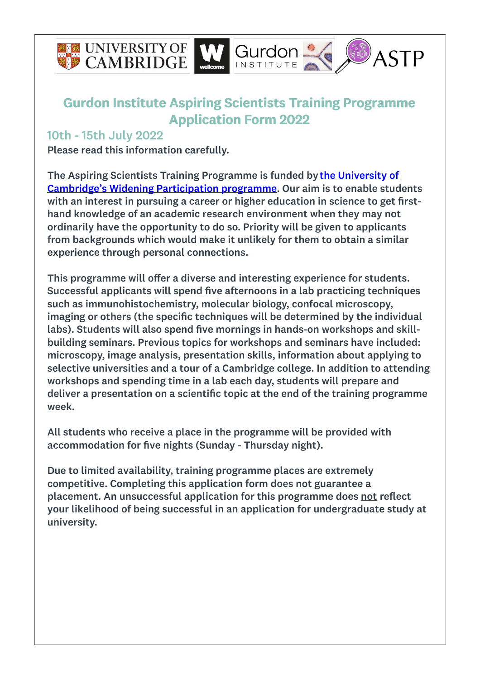



#### 10th - 15th July 2022

Please read this information carefully.

The Aspiring Scientists Training Programme is funded by the University of Cambridge's Widening [Participation](https://www.undergraduate.study.cam.ac.uk/find-out-more/widening-participation) programme. Our aim is to enable students with an interest in pursuing a career or higher education in science to get firsthand knowledge of an academic research environment when they may not ordinarily have the opportunity to do so. Priority will be given to applicants from backgrounds which would make it unlikely for them to obtain a similar experience through personal connections.

This programme will offer a diverse and interesting experience for students. Successful applicants will spend five afternoons in a lab practicing techniques such as immunohistochemistry, molecular biology, confocal microscopy, imaging or others (the specific techniques will be determined by the individual labs). Students will also spend five mornings in hands-on workshops and skillbuilding seminars. Previous topics for workshops and seminars have included: microscopy, image analysis, presentation skills, information about applying to selective universities and a tour of a Cambridge college. In addition to attending workshops and spending time in a lab each day, students will prepare and deliver a presentation on a scientific topic at the end of the training programme week.

All students who receive a place in the programme will be provided with accommodation for five nights (Sunday - Thursday night).

Due to limited availability, training programme places are extremely competitive. Completing this application form does not guarantee a placement. An unsuccessful application for this programme does not reflect your likelihood of being successful in an application for undergraduate study at university.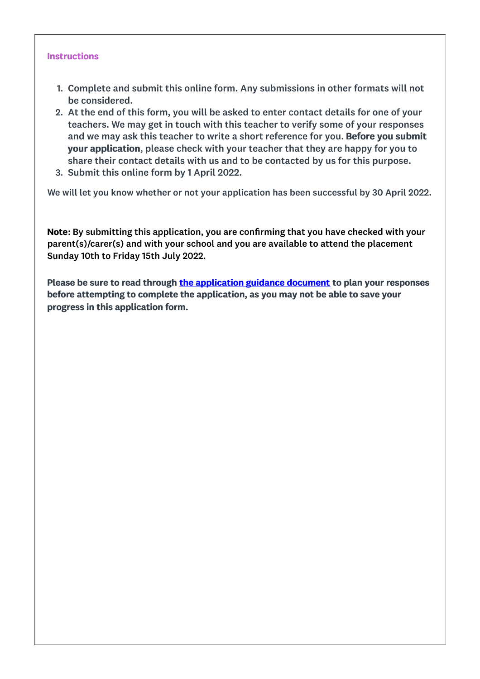#### **Instructions**

- 1. Complete and submit this online form. Any submissions in other formats will not be considered.
- 2. At the end of this form, you will be asked to enter contact details for one of your teachers. We may get in touch with this teacher to verify some of your responses and we may ask this teacher to write a short reference for you. Before you submit your application, please check with your teacher that they are happy for you to share their contact details with us and to be contacted by us for this purpose.
- 3. Submit this online form by 1 April 2022.

We will let you know whether or not your application has been successful by 30 April 2022.

Note: By submitting this application, you are confirming that you have checked with your parent(s)/carer(s) and with your school and you are available to attend the placement Sunday 10th to Friday 15th July 2022.

Please be sure to read through the [application](https://www.gurdon.cam.ac.uk/public-engagement/asap) guidance document to plan your responses before attempting to complete the application, as you may not be able to save your progress in this application form.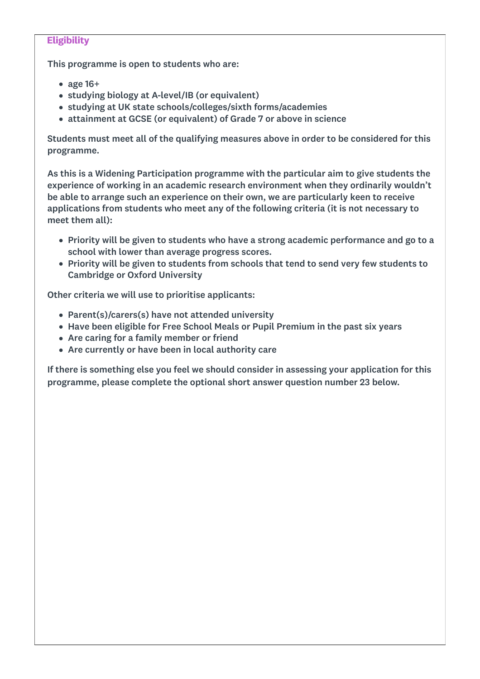#### **Eligibility**

This programme is open to students who are:

- age 16+
- studying biology at A-level/IB (or equivalent)
- studying at UK state schools/colleges/sixth forms/academies
- attainment at GCSE (or equivalent) of Grade 7 or above in science

Students must meet all of the qualifying measures above in order to be considered for this programme.

As this is a Widening Participation programme with the particular aim to give students the experience of working in an academic research environment when they ordinarily wouldn't be able to arrange such an experience on their own, we are particularly keen to receive applications from students who meet any of the following criteria (it is not necessary to meet them all):

- Priority will be given to students who have a strong academic performance and go to a school with lower than average progress scores.
- Priority will be given to students from schools that tend to send very few students to Cambridge or Oxford University

Other criteria we will use to prioritise applicants:

- Parent(s)/carers(s) have not attended university
- Have been eligible for Free School Meals or Pupil Premium in the past six years
- Are caring for a family member or friend
- Are currently or have been in local authority care

If there is something else you feel we should consider in assessing your application for this programme, please complete the optional short answer question number 23 below.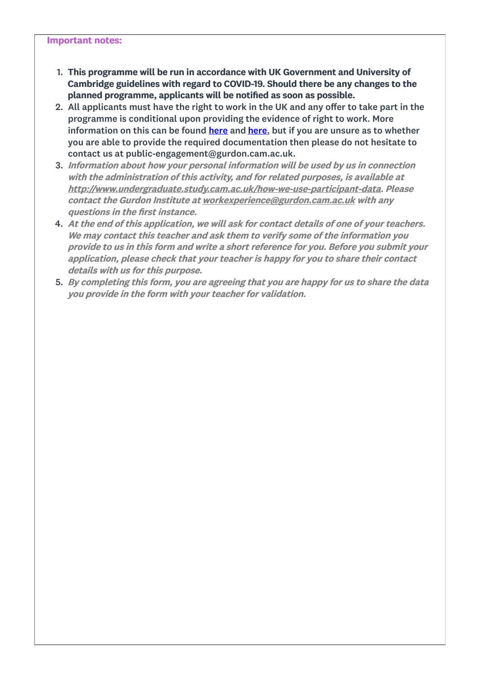#### Important notes:

- 1. This programme will be run in accordance with UK Government and University of Cambridge guidelines with regard to COVID-19. Should there be any changes to the planned programme, applicants will be notified as soon as possible.
- 2. All applicants must have the right to work in the UK and any offer to take part in the programme is conditional upon providing the evidence of right to work. More information on this can be found [here](http://www.jobs.cam.ac.uk/right/listb.html) and here, but if you are unsure as to whether you are able to provide the required documentation then please do not hesitate to contact us at public-engagement@gurdon.cam.ac.uk.
- 3. Information about how your personal information will be used by us in connection with the administration of this activity, and for related purposes, is available at http://[www.undergraduate.study.cam.ac.uk/how-we-use-participant-data](https://www.undergraduate.study.cam.ac.uk/how-we-use-participant-data). Please contact the Gurdon Institute at [workexperience@gurdon.cam.ac.uk](mailto:workexperience@gurdon.cam.ac.uk) with any questions in the first instance.
- 4. At the end of this application, we will ask for contact details of one of your teachers. We may contact this teacher and ask them to verify some of the information you provide to us in this form and write <sup>a</sup> short reference for you. Before you submit your application, please check that your teacher is happy for you to share their contact details with us for this purpose.
- 5. By completing this form, you are agreeing that you are happy for us to share the data you provide in the form with your teacher for validation.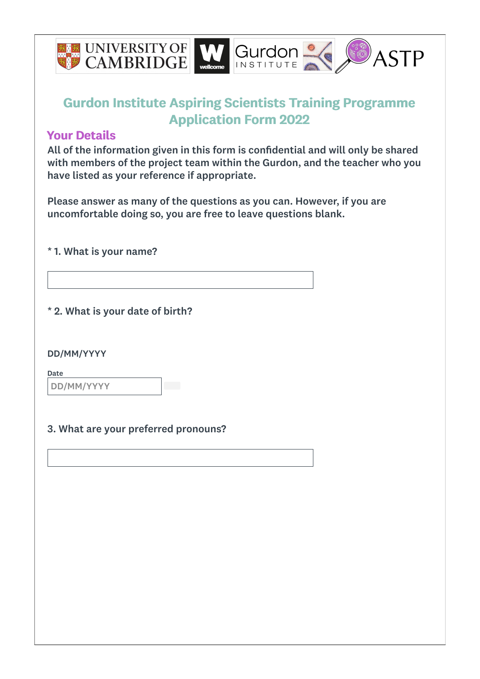

#### Your Details

All of the information given in this form is confidential and will only be shared with members of the project team within the Gurdon, and the teacher who you have listed as your reference if appropriate.

Please answer as many of the questions as you can. However, if you are uncomfortable doing so, you are free to leave questions blank.

\* 1. What is your name?

\* 2. What is your date of birth?

DD/MM/YYYY

Date DD/MM/YYYY

#### 3. What are your preferred pronouns?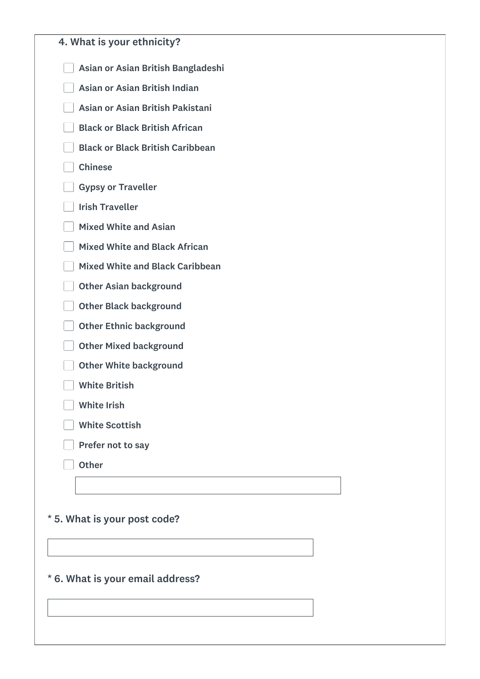| 4. What is your ethnicity?              |
|-----------------------------------------|
| Asian or Asian British Bangladeshi      |
| Asian or Asian British Indian           |
| Asian or Asian British Pakistani        |
| <b>Black or Black British African</b>   |
| <b>Black or Black British Caribbean</b> |
| <b>Chinese</b>                          |
| <b>Gypsy or Traveller</b>               |
| <b>Irish Traveller</b>                  |
| <b>Mixed White and Asian</b>            |
| <b>Mixed White and Black African</b>    |
| <b>Mixed White and Black Caribbean</b>  |
| <b>Other Asian background</b>           |
| <b>Other Black background</b>           |
| <b>Other Ethnic background</b>          |
| <b>Other Mixed background</b>           |
| <b>Other White background</b>           |
| <b>White British</b>                    |
| <b>White Irish</b>                      |
| <b>White Scottish</b>                   |
| Prefer not to say                       |
| <b>Other</b>                            |

<u> 1989 - Johann Barn, mars ann an t-</u>

## \* 5. What is your post code?

\* 6. What is your email address?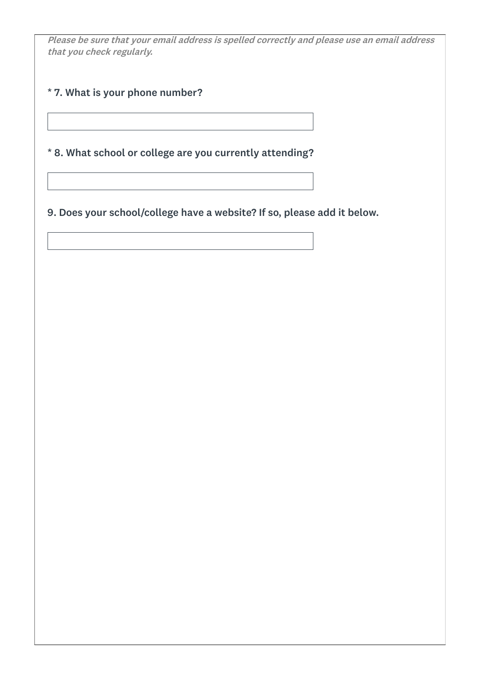Please be sure that your email address is spelled correctly and please use an email address that you check regularly.

\* 7. What is your phone number?

\* 8. What school or college are you currently attending?

9. Does your school/college have a website? If so, please add it below.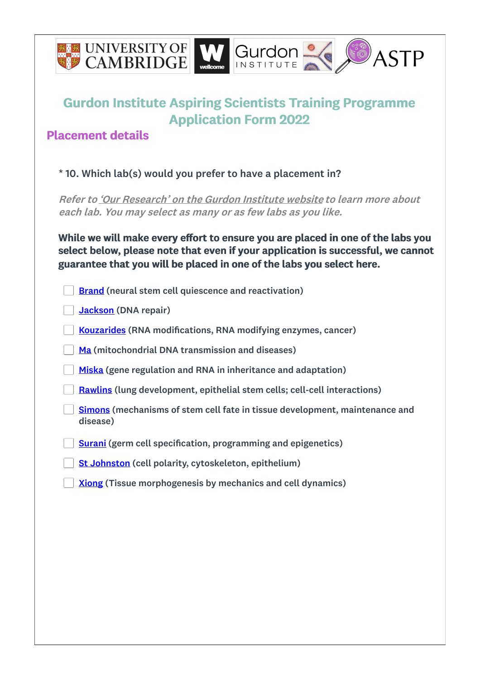

## Placement details

#### \* 10. Which lab(s) would you prefer to have a placement in?

Refer to 'Our [Research'](https://www.gurdon.cam.ac.uk) on the Gurdon Institute website to learn more about each lab. You may select as many or as few labs as you like.

While we will make every effort to ensure you are placed in one of the labs you select below, please note that even if your application is successful, we cannot guarantee that you will be placed in one of the labs you select here.

| <b>Brand</b> (neural stem cell quiescence and reactivation)                             |
|-----------------------------------------------------------------------------------------|
| <b>Jackson</b> (DNA repair)                                                             |
| <b>Kouzarides</b> (RNA modifications, RNA modifying enzymes, cancer)                    |
| Ma (mitochondrial DNA transmission and diseases)                                        |
| Miska (gene regulation and RNA in inheritance and adaptation)                           |
| <b>Rawlins (lung development, epithelial stem cells; cell-cell interactions)</b>        |
| Simons (mechanisms of stem cell fate in tissue development, maintenance and<br>disease) |
| <b>Surani</b> (germ cell specification, programming and epigenetics)                    |
| <b>St Johnston</b> (cell polarity, cytoskeleton, epithelium)                            |
| <b>Xiong</b> (Tissue morphogenesis by mechanics and cell dynamics)                      |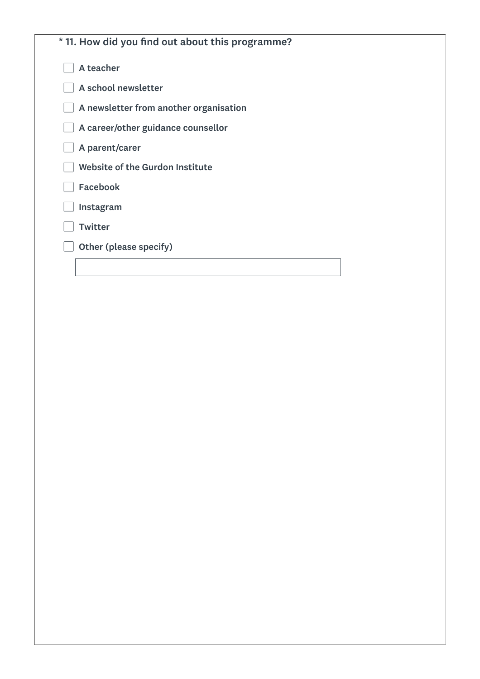| * 11. How did you find out about this programme? |  |
|--------------------------------------------------|--|
| A teacher                                        |  |
| A school newsletter                              |  |
| A newsletter from another organisation           |  |
| A career/other guidance counsellor               |  |
| A parent/carer                                   |  |
| Website of the Gurdon Institute                  |  |
| <b>Facebook</b>                                  |  |
| Instagram                                        |  |
| <b>Twitter</b>                                   |  |
| Other (please specify)                           |  |
|                                                  |  |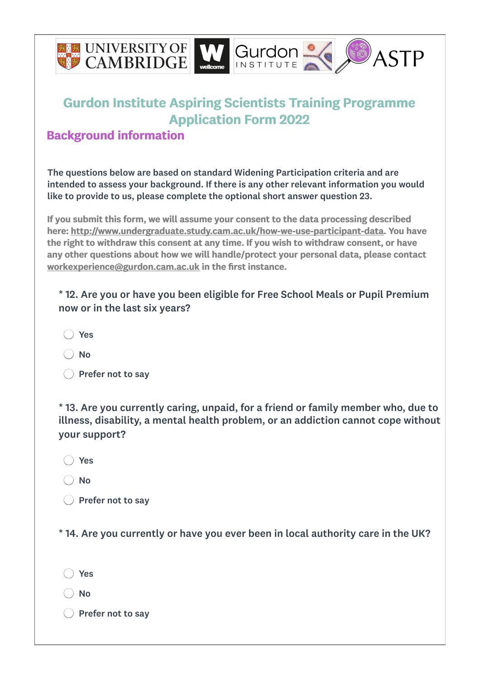

### Background information

The questions below are based on standard Widening Participation criteria and are intended to assess your background. If there is any other relevant information you would like to provide to us, please complete the optional short answer question 23.

If you submit this form, we will assume your consent to the data processing described here: <http://www.undergraduate.study.cam.ac.uk/how-we-use-participant-data>. You have the right to withdraw this consent at any time. If you wish to withdraw consent, or have any other questions about how we will handle/protect your personal data, please contact [workexperience@gurdon.cam.ac.uk](mailto:workexperience@gurdon.cam.ac.uk) in the first instance.

\* 12. Are you or have you been eligible for Free School Meals or Pupil Premium now or in the last six years?

◯ Yes

 $\bigcap$  No

 $\bigcirc$  Prefer not to sav

\* 13. Are you currently caring, unpaid, for a friend or family member who, due to illness, disability, a mental health problem, or an addiction cannot cope without your support?

◯ Yes

◯ No

 $\bigcap$  Prefer not to sav

\* 14. Are you currently or have you ever been in local authority care in the UK?

◯ Yes

 $\big)$  No

 $\bigcirc$  Prefer not to sav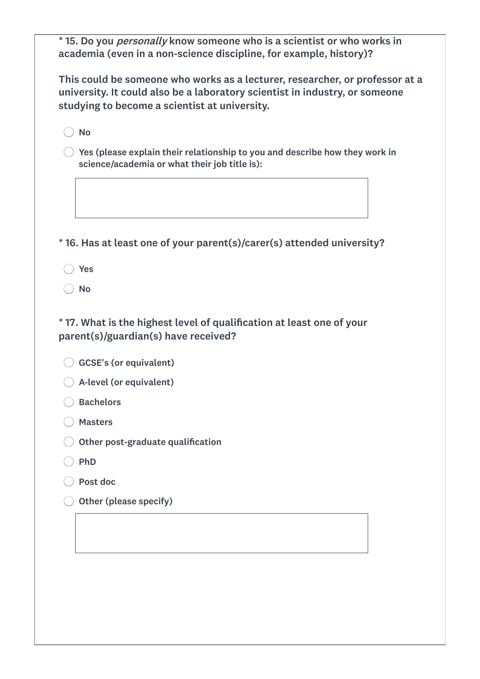\* 15. Do you personally know someone who is a scientist or who works in academia (even in a non-science discipline, for example, history)?

This could be someone who works as a lecturer, researcher, or professor at a university. It could also be a laboratory scientist in industry, or someone studying to become a scientist at university.

 $\bigcap$  No

 $\bigcirc$  Yes (please explain their relationship to you and describe how they work in science/academia or what their job title is):

\* 16. Has at least one of your parent(s)/carer(s) attended university?

◯ Yes

 $\bigcap$  No

\* 17. What is the highest level of qualification at least one of your parent(s)/guardian(s) have received?

GCSE's (or equivalent)

- A-level (or equivalent)
- ◯ Bachelors
- ◯ Masters
- $\bigcirc$  Other post-graduate qualification
- $\bigcap$  PhD
- Post doc
- $\bigcirc$  Other (please specify)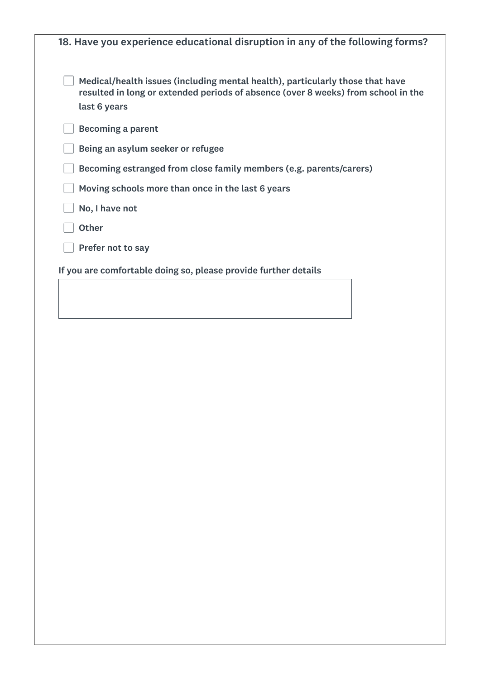| 18. Have you experience educational disruption in any of the following forms?                                                                                                      |  |
|------------------------------------------------------------------------------------------------------------------------------------------------------------------------------------|--|
| Medical/health issues (including mental health), particularly those that have<br>resulted in long or extended periods of absence (over 8 weeks) from school in the<br>last 6 years |  |
| <b>Becoming a parent</b>                                                                                                                                                           |  |
| Being an asylum seeker or refugee                                                                                                                                                  |  |
| Becoming estranged from close family members (e.g. parents/carers)                                                                                                                 |  |
| Moving schools more than once in the last 6 years                                                                                                                                  |  |
| No, I have not                                                                                                                                                                     |  |
| <b>Other</b>                                                                                                                                                                       |  |
| Prefer not to say                                                                                                                                                                  |  |
| If you are comfortable doing so, please provide further details                                                                                                                    |  |
|                                                                                                                                                                                    |  |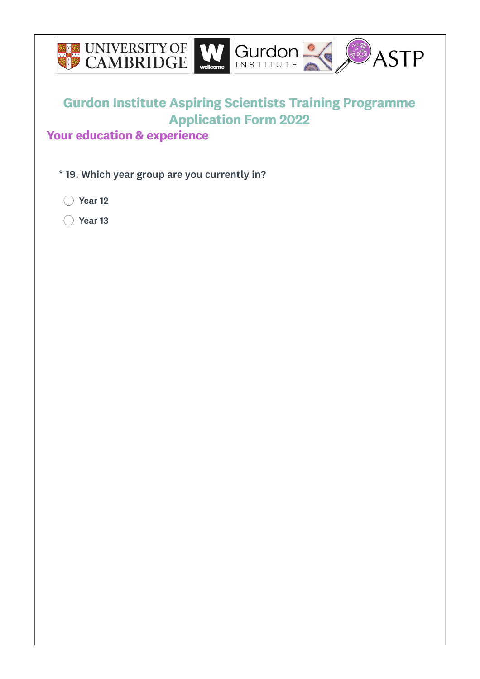

## Your education & experience

\* 19. Which year group are you currently in?

◯ Year 12

◯ Year 13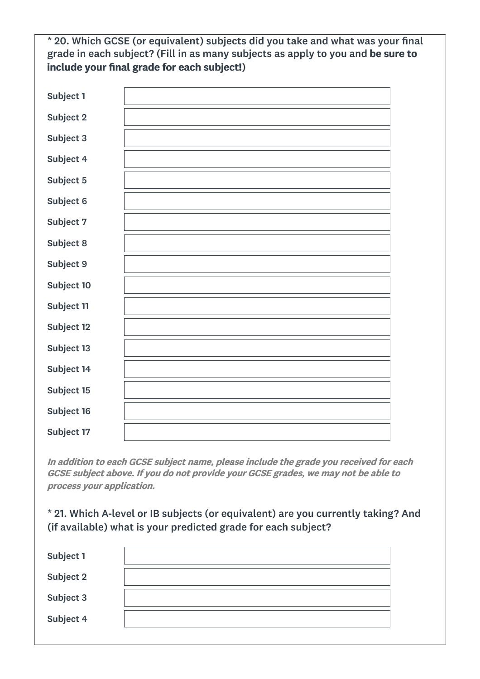\* 20. Which GCSE (or equivalent) subjects did you take and what was your final grade in each subject? (Fill in as many subjects as apply to you and be sure to include your final grade for each subject!)

| Subject 1  |  |
|------------|--|
| Subject 2  |  |
| Subject 3  |  |
| Subject 4  |  |
| Subject 5  |  |
| Subject 6  |  |
| Subject 7  |  |
| Subject 8  |  |
| Subject 9  |  |
| Subject 10 |  |
| Subject 11 |  |
| Subject 12 |  |
| Subject 13 |  |
| Subject 14 |  |
| Subject 15 |  |
| Subject 16 |  |
| Subject 17 |  |

In addition to each GCSE subject name, please include the grade you received for each GCSE subject above. If you do not provide your GCSE grades, we may not be able to process your application.

\* 21. Which A-level or IB subjects (or equivalent) are you currently taking? And (if available) what is your predicted grade for each subject?

| Subject 1        |  |
|------------------|--|
| <b>Subject 2</b> |  |
| Subject 3        |  |
| Subject 4        |  |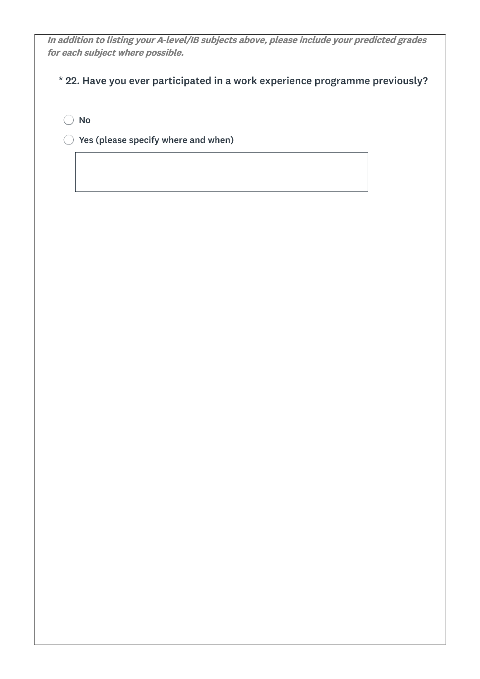In addition to listing your A-level/IB subjects above, please include your predicted grades for each subject where possible.

\* 22. Have you ever participated in a work experience programme previously?

○ No

 $\bigcirc$  Yes (please specify where and when)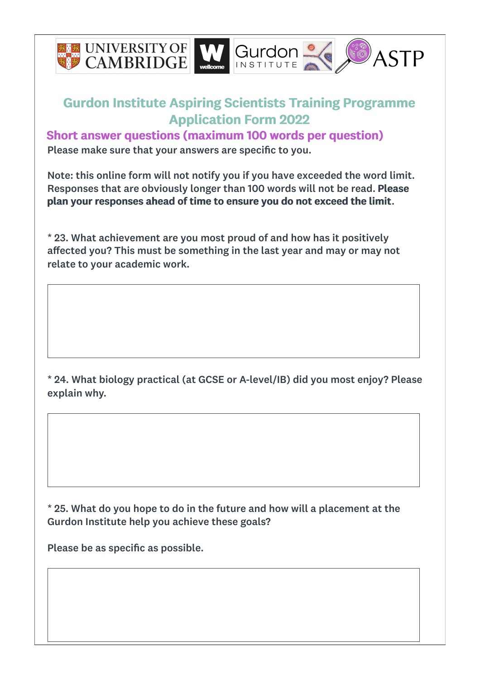

Short answer questions (maximum 100 words per question) Please make sure that your answers are specific to you.

Note: this online form will not notify you if you have exceeded the word limit. Responses that are obviously longer than 100 words will not be read. Please plan your responses ahead of time to ensure you do not exceed the limit.

\* 23. What achievement are you most proud of and how has it positively affected you? This must be something in the last year and may or may not relate to your academic work.

\* 24. What biology practical (at GCSE or A-level/IB) did you most enjoy? Please explain why.

\* 25. What do you hope to do in the future and how will a placement at the Gurdon Institute help you achieve these goals?

Please be as specific as possible.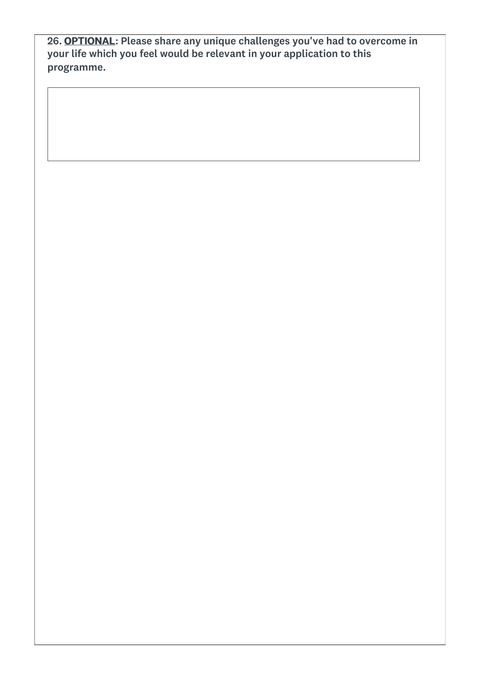26. <u>OPTIONAL</u>: Please share any unique challenges you've had to overcome in your life which you feel would be relevant in your application to this programme.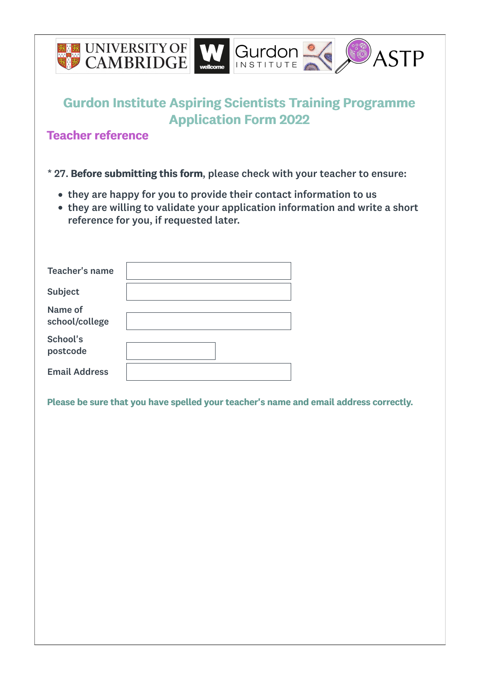

Teacher reference

- \* 27. Before submitting this form, please check with your teacher to ensure:
	- they are happy for you to provide their contact information to us
	- they are willing to validate your application information and write a short reference for you, if requested later.

| Teacher's name            |  |
|---------------------------|--|
| Subject                   |  |
| Name of<br>school/college |  |
| School's<br>postcode      |  |
| <b>Email Address</b>      |  |

Please be sure that you have spelled your teacher's name and email address correctly.